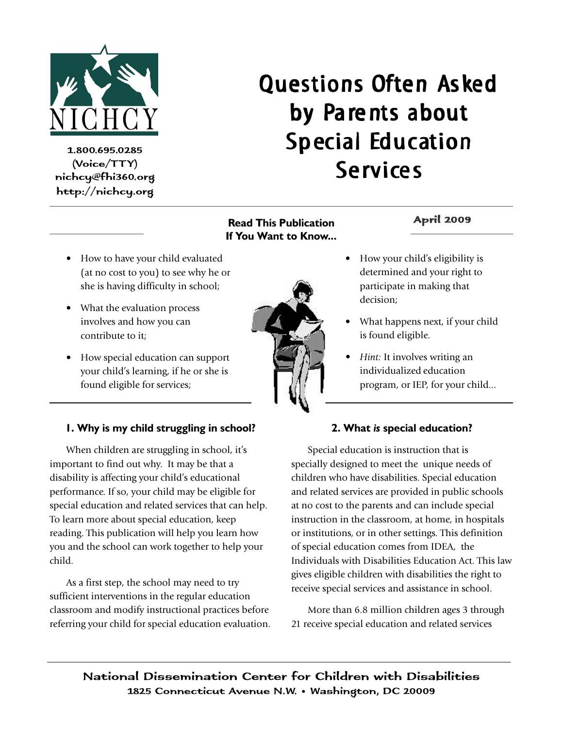

1.800.695.0285 (Voice/TTY) nichcy@fhi360.org http://nichcy.org

# **Questions Often Asked** by Parents about Special Education **Services**

**Read This Publication If You Want to Know...**

# April 2009

- How to have your child evaluated (at no cost to you) to see why he or she is having difficulty in school;
- What the evaluation process involves and how you can contribute to it;
- How special education can support your child's learning, if he or she is found eligible for services;

# **1. Why is my child struggling in school?**

When children are struggling in school, it's important to find out why. It may be that a disability is affecting your child's educational performance. If so, your child may be eligible for special education and related services that can help. To learn more about special education, keep reading. This publication will help you learn how you and the school can work together to help your child.

As a first step, the school may need to try sufficient interventions in the regular education classroom and modify instructional practices before referring your child for special education evaluation.

- How your child's eligibility is determined and your right to participate in making that decision;
	- What happens next, if your child is found eligible.
	- *Hint*: It involves writing an individualized education program, or IEP, for your child...

# **2. What** *is* **special education?**

Special education is instruction that is specially designed to meet the unique needs of children who have disabilities. Special education and related services are provided in public schools at no cost to the parents and can include special instruction in the classroom, at home, in hospitals or institutions, or in other settings. This definition of special education comes from IDEA, the Individuals with Disabilities Education Act. This law gives eligible children with disabilities the right to receive special services and assistance in school.

More than 6.8 million children ages 3 through 21 receive special education and related services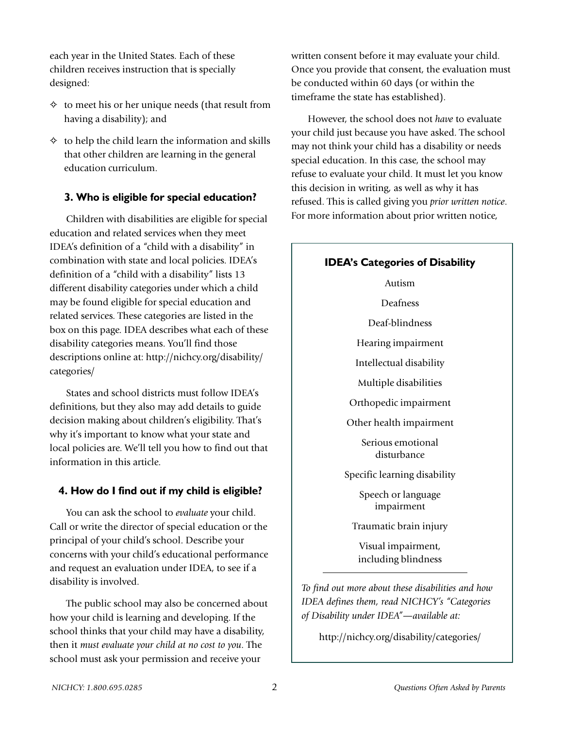each year in the United States. Each of these children receives instruction that is specially designed:

- $\diamond$  to meet his or her unique needs (that result from having a disability); and
- $\diamond$  to help the child learn the information and skills that other children are learning in the general education curriculum.

# **3. Who is eligible for special education?**

Children with disabilities are eligible for special education and related services when they meet IDEA's definition of a "child with a disability" in combination with state and local policies. IDEA's definition of a "child with a disability" lists 13 different disability categories under which a child may be found eligible for special education and related services. These categories are listed in the box on this page. IDEA describes what each of these disability categories means. You'll find those descriptions online at: http://nichcy.org/disability/ categories/

States and school districts must follow IDEA's definitions, but they also may add details to guide decision making about children's eligibility. That's why it's important to know what your state and local policies are. We'll tell you how to find out that information in this article.

# **4. How do I find out if my child is eligible?**

You can ask the school to *evaluate* your child. Call or write the director of special education or the principal of your child's school. Describe your concerns with your child's educational performance and request an evaluation under IDEA, to see if a disability is involved.

The public school may also be concerned about how your child is learning and developing. If the school thinks that your child may have a disability, then it *must evaluate your child at no cost to you*. The school must ask your permission and receive your

written consent before it may evaluate your child. Once you provide that consent, the evaluation must be conducted within 60 days (or within the timeframe the state has established).

However, the school does not *have* to evaluate your child just because you have asked. The school may not think your child has a disability or needs special education. In this case, the school may refuse to evaluate your child. It must let you know this decision in writing, as well as why it has refused. This is called giving you *prior written notice*. For more information about prior written notice,

# **IDEA's Categories of Disability**

Autism Deafness Deaf-blindness Hearing impairment Intellectual disability Multiple disabilities Orthopedic impairment

Other health impairment

Serious emotional disturbance

Specific learning disability

Speech or language impairment

Traumatic brain injury

Visual impairment, including blindness

*To find out more about these disabilities and how IDEA defines them, read NICHCY's "Categories of Disability under IDEA"—available at:*

http://nichcy.org/disability/categories/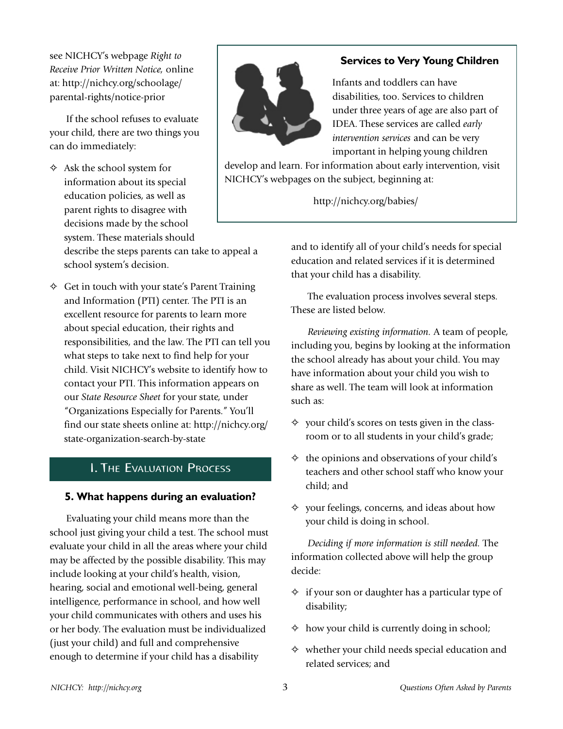see NICHCY's webpage *Right to Receive Prior Written Notice,* online at: http://nichcy.org/schoolage/ parental-rights/notice-prior

If the school refuses to evaluate your child, there are two things you can do immediately:

✧ Ask the school system for information about its special education policies, as well as parent rights to disagree with decisions made by the school system. These materials should

describe the steps parents can take to appeal a school system's decision.

 $\diamond$  Get in touch with your state's Parent Training and Information (PTI) center. The PTI is an excellent resource for parents to learn more about special education, their rights and responsibilities, and the law. The PTI can tell you what steps to take next to find help for your child. Visit NICHCY's website to identify how to contact your PTI. This information appears on our *State Resource Sheet* for your state, under "Organizations Especially for Parents." You'll find our state sheets online at: http://nichcy.org/ state-organization-search-by-state

# I. THE EVALUATION PROCESS

#### **5. What happens during an evaluation?**

Evaluating your child means more than the school just giving your child a test. The school must evaluate your child in all the areas where your child may be affected by the possible disability. This may include looking at your child's health, vision, hearing, social and emotional well-being, general intelligence, performance in school, and how well your child communicates with others and uses his or her body. The evaluation must be individualized (just your child) and full and comprehensive enough to determine if your child has a disability



#### **Services to Very Young Children**

Infants and toddlers can have disabilities, too. Services to children under three years of age are also part of IDEA. These services are called *early intervention services* and can be very important in helping young children

develop and learn. For information about early intervention, visit NICHCY's webpages on the subject, beginning at:

http://nichcy.org/babies/

and to identify all of your child's needs for special education and related services if it is determined that your child has a disability.

The evaluation process involves several steps. These are listed below.

*Reviewing existing information.* A team of people, including you, begins by looking at the information the school already has about your child. You may have information about your child you wish to share as well. The team will look at information such as:

- ✧ your child's scores on tests given in the classroom or to all students in your child's grade;
- $\diamond$  the opinions and observations of your child's teachers and other school staff who know your child; and
- ✧ your feelings, concerns, and ideas about how your child is doing in school.

*Deciding if more information is still needed.* The information collected above will help the group decide:

- ✧ if your son or daughter has a particular type of disability;
- $\diamond$  how your child is currently doing in school;
- ✧ whether your child needs special education and related services; and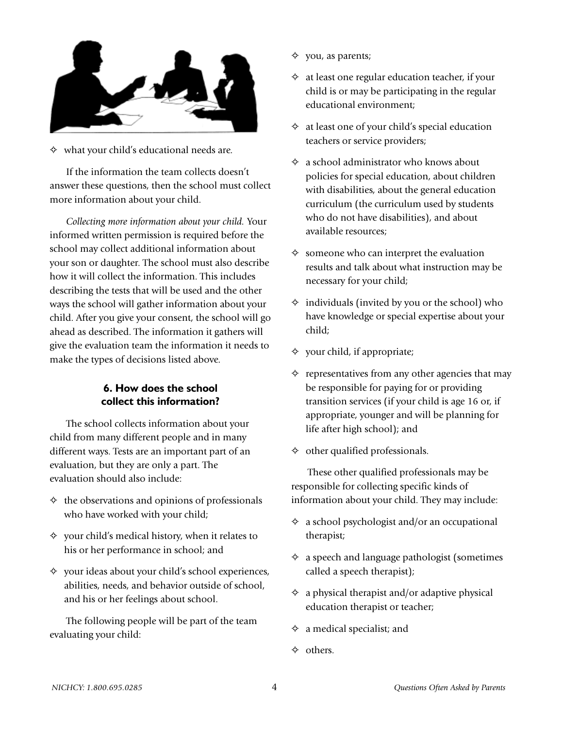

✧ what your child's educational needs are.

If the information the team collects doesn't answer these questions, then the school must collect more information about your child.

*Collecting more information about your child.* Your informed written permission is required before the school may collect additional information about your son or daughter. The school must also describe how it will collect the information. This includes describing the tests that will be used and the other ways the school will gather information about your child. After you give your consent, the school will go ahead as described. The information it gathers will give the evaluation team the information it needs to make the types of decisions listed above.

### **6. How does the school collect this information?**

The school collects information about your child from many different people and in many different ways. Tests are an important part of an evaluation, but they are only a part. The evaluation should also include:

- $\diamond$  the observations and opinions of professionals who have worked with your child;
- $\diamond$  your child's medical history, when it relates to his or her performance in school; and
- ✧ your ideas about your child's school experiences, abilities, needs, and behavior outside of school, and his or her feelings about school.

The following people will be part of the team evaluating your child:

- ✧ you, as parents;
- $\diamond$  at least one regular education teacher, if your child is or may be participating in the regular educational environment;
- $\diamond$  at least one of your child's special education teachers or service providers;
- $\Diamond$  a school administrator who knows about policies for special education, about children with disabilities, about the general education curriculum (the curriculum used by students who do not have disabilities), and about available resources;
- ✧ someone who can interpret the evaluation results and talk about what instruction may be necessary for your child;
- $\diamond$  individuals (invited by you or the school) who have knowledge or special expertise about your child;
- $\Diamond$  your child, if appropriate;
- $\diamond$  representatives from any other agencies that may be responsible for paying for or providing transition services (if your child is age 16 or, if appropriate, younger and will be planning for life after high school); and
- ✧ other qualified professionals.

These other qualified professionals may be responsible for collecting specific kinds of information about your child. They may include:

- $\Diamond$  a school psychologist and/or an occupational therapist;
- $\diamond$  a speech and language pathologist (sometimes called a speech therapist);
- $\Diamond$  a physical therapist and/or adaptive physical education therapist or teacher;
- $\Leftrightarrow$  a medical specialist; and
- ✧ others.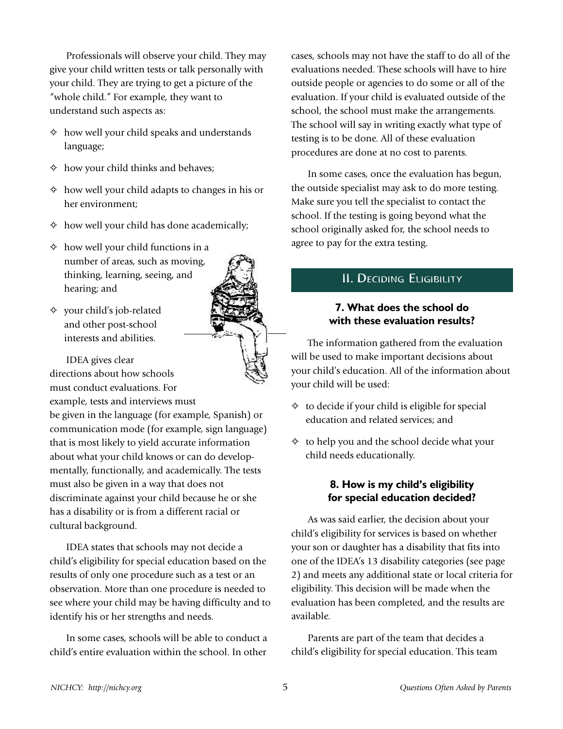Professionals will observe your child. They may give your child written tests or talk personally with your child. They are trying to get a picture of the "whole child." For example, they want to understand such aspects as:

- $\diamond$  how well your child speaks and understands language;
- $\diamond$  how your child thinks and behaves;
- $\diamond$  how well your child adapts to changes in his or her environment;
- $\diamond$  how well your child has done academically;
- $\diamond$  how well your child functions in a number of areas, such as moving, thinking, learning, seeing, and hearing; and
- ✧ your child's job-related and other post-school interests and abilities.

IDEA gives clear

directions about how schools must conduct evaluations. For example, tests and interviews must

be given in the language (for example, Spanish) or communication mode (for example, sign language) that is most likely to yield accurate information about what your child knows or can do developmentally, functionally, and academically. The tests must also be given in a way that does not discriminate against your child because he or she has a disability or is from a different racial or cultural background.

IDEA states that schools may not decide a child's eligibility for special education based on the results of only one procedure such as a test or an observation. More than one procedure is needed to see where your child may be having difficulty and to identify his or her strengths and needs.

In some cases, schools will be able to conduct a child's entire evaluation within the school. In other

cases, schools may not have the staff to do all of the evaluations needed. These schools will have to hire outside people or agencies to do some or all of the evaluation. If your child is evaluated outside of the school, the school must make the arrangements. The school will say in writing exactly what type of testing is to be done. All of these evaluation procedures are done at no cost to parents.

In some cases, once the evaluation has begun, the outside specialist may ask to do more testing. Make sure you tell the specialist to contact the school. If the testing is going beyond what the school originally asked for, the school needs to agree to pay for the extra testing.

# II. DECIDING ELIGIBILITY

### **7. What does the school do with these evaluation results?**

The information gathered from the evaluation will be used to make important decisions about your child's education. All of the information about your child will be used:

- $\diamond$  to decide if your child is eligible for special education and related services; and
- $\diamond$  to help you and the school decide what your child needs educationally.

# **8. How is my child's eligibility for special education decided?**

As was said earlier, the decision about your child's eligibility for services is based on whether your son or daughter has a disability that fits into one of the IDEA's 13 disability categories (see page 2) and meets any additional state or local criteria for eligibility. This decision will be made when the evaluation has been completed, and the results are available.

Parents are part of the team that decides a child's eligibility for special education. This team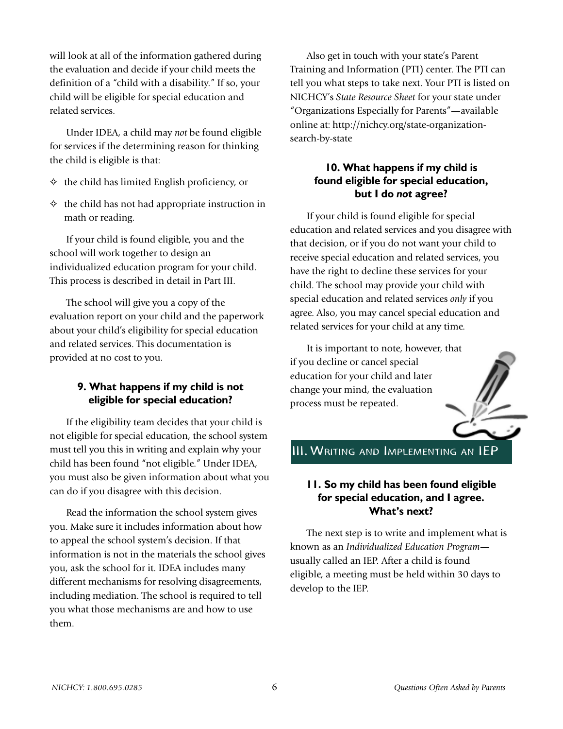will look at all of the information gathered during the evaluation and decide if your child meets the definition of a "child with a disability." If so, your child will be eligible for special education and related services.

Under IDEA, a child may *not* be found eligible for services if the determining reason for thinking the child is eligible is that:

- $\diamond$  the child has limited English proficiency, or
- $\diamond$  the child has not had appropriate instruction in math or reading.

If your child is found eligible, you and the school will work together to design an individualized education program for your child. This process is described in detail in Part III.

The school will give you a copy of the evaluation report on your child and the paperwork about your child's eligibility for special education and related services. This documentation is provided at no cost to you.

# **9. What happens if my child is not eligible for special education?**

If the eligibility team decides that your child is not eligible for special education, the school system must tell you this in writing and explain why your child has been found "not eligible." Under IDEA, you must also be given information about what you can do if you disagree with this decision.

Read the information the school system gives you. Make sure it includes information about how to appeal the school system's decision. If that information is not in the materials the school gives you, ask the school for it. IDEA includes many different mechanisms for resolving disagreements, including mediation. The school is required to tell you what those mechanisms are and how to use them.

Also get in touch with your state's Parent Training and Information (PTI) center. The PTI can tell you what steps to take next. Your PTI is listed on NICHCY's *State Resource Sheet* for your state under "Organizations Especially for Parents"—available online at: http://nichcy.org/state-organizationsearch-by-state

# **10. What happens if my child is found eligible for special education, but I do** *not* **agree?**

If your child is found eligible for special education and related services and you disagree with that decision, or if you do not want your child to receive special education and related services, you have the right to decline these services for your child. The school may provide your child with special education and related services *only* if you agree. Also, you may cancel special education and related services for your child at any time.

It is important to note, however, that if you decline or cancel special education for your child and later change your mind, the evaluation process must be repeated.



# III. WRITING AND IMPLEMENTING AN IEP

# **11. So my child has been found eligible for special education, and I agree. What's next?**

The next step is to write and implement what is known as an *Individualized Education Program* usually called an IEP. After a child is found eligible, a meeting must be held within 30 days to develop to the IEP.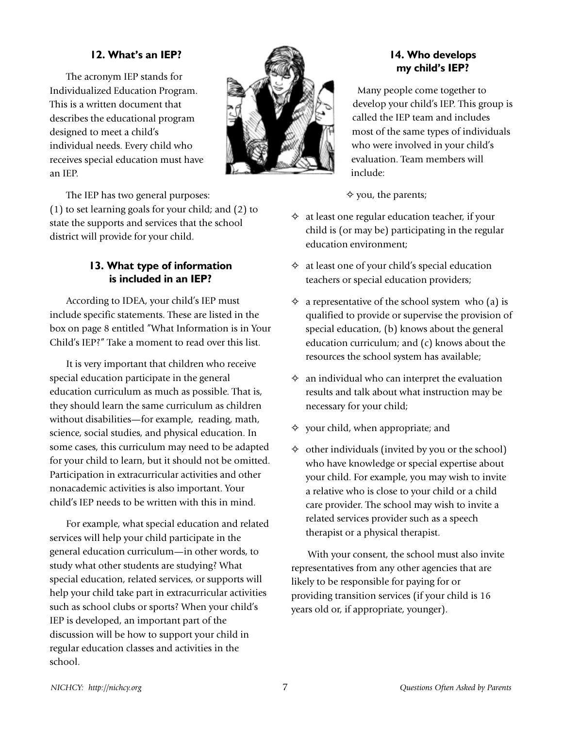# **12. What's an IEP?**

The acronym IEP stands for Individualized Education Program. This is a written document that describes the educational program designed to meet a child's individual needs. Every child who receives special education must have an IEP.

The IEP has two general purposes: (1) to set learning goals for your child; and (2) to state the supports and services that the school district will provide for your child.

### **13. What type of information is included in an IEP?**

According to IDEA, your child's IEP must include specific statements. These are listed in the box on page 8 entitled "What Information is in Your Child's IEP?" Take a moment to read over this list.

It is very important that children who receive special education participate in the general education curriculum as much as possible. That is, they should learn the same curriculum as children without disabilities—for example, reading, math, science, social studies, and physical education. In some cases, this curriculum may need to be adapted for your child to learn, but it should not be omitted. Participation in extracurricular activities and other nonacademic activities is also important. Your child's IEP needs to be written with this in mind.

For example, what special education and related services will help your child participate in the general education curriculum—in other words, to study what other students are studying? What special education, related services, or supports will help your child take part in extracurricular activities such as school clubs or sports? When your child's IEP is developed, an important part of the discussion will be how to support your child in regular education classes and activities in the school.



#### **14. Who develops my child's IEP?**

Many people come together to develop your child's IEP. This group is called the IEP team and includes most of the same types of individuals who were involved in your child's evaluation. Team members will include:

- ✧ you, the parents;
- $\diamond$  at least one regular education teacher, if your child is (or may be) participating in the regular education environment;
- $\Diamond$  at least one of your child's special education teachers or special education providers;
- $\Diamond$  a representative of the school system who (a) is qualified to provide or supervise the provision of special education, (b) knows about the general education curriculum; and (c) knows about the resources the school system has available;
- $\diamond$  an individual who can interpret the evaluation results and talk about what instruction may be necessary for your child;
- ✧ your child, when appropriate; and
- $\diamond$  other individuals (invited by you or the school) who have knowledge or special expertise about your child. For example, you may wish to invite a relative who is close to your child or a child care provider. The school may wish to invite a related services provider such as a speech therapist or a physical therapist.

With your consent, the school must also invite representatives from any other agencies that are likely to be responsible for paying for or providing transition services (if your child is 16 years old or, if appropriate, younger).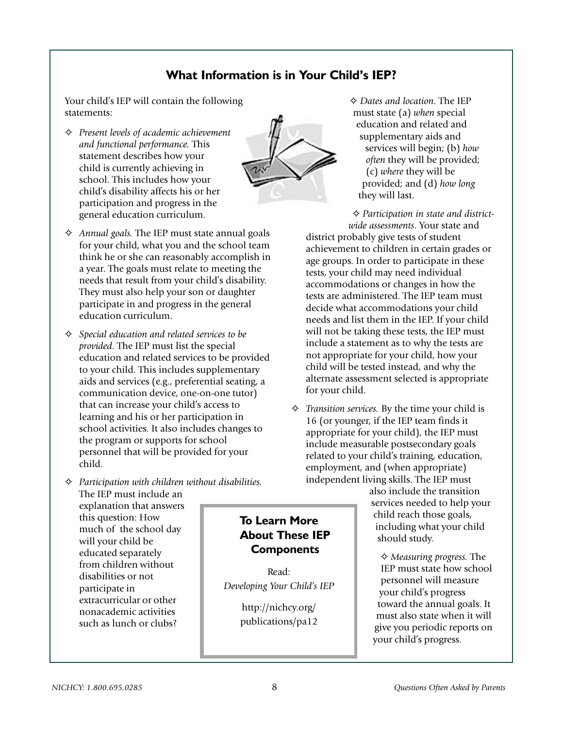# **What Information is in Your Child's IEP?**

Your child's IEP will contain the following statements:

- ✧ *Present levels of academic achievement and functional performance.* This statement describes how your child is currently achieving in school. This includes how your child's disability affects his or her participation and progress in the general education curriculum.
- ✧ *Annual goals.* The IEP must state annual goals for your child, what you and the school team think he or she can reasonably accomplish in a year. The goals must relate to meeting the needs that result from your child's disability. They must also help your son or daughter participate in and progress in the general education curriculum.
- ✧ *Special education and related services to be provided*. The IEP must list the special education and related services to be provided to your child. This includes supplementary aids and services (e.g., preferential seating, a communication device, one-on-one tutor) that can increase your child's access to learning and his or her participation in school activities. It also includes changes to the program or supports for school personnel that will be provided for your child.
- ✧ *Participation with children without disabilities.* The IEP must include an explanation that answers this question: How much of the school day will your child be educated separately from children without disabilities or not participate in extracurricular or other nonacademic activities such as lunch or clubs?

# **To Learn More About These IEP Components**

Read: *Developing Your Child's IEP*

> http://nichcy.org/ publications/pa12

✧ *Dates and location*. The IEP must state (a) *when* special education and related and supplementary aids and services will begin; (b) *how often* they will be provided; (c) *where* they will be provided; and (d) *how long* they will last.

✧ *Participation in state and districtwide assessments*. Your state and

district probably give tests of student achievement to children in certain grades or age groups. In order to participate in these tests, your child may need individual accommodations or changes in how the tests are administered. The IEP team must decide what accommodations your child needs and list them in the IEP. If your child will not be taking these tests, the IEP must include a statement as to why the tests are not appropriate for your child, how your child will be tested instead, and why the alternate assessment selected is appropriate for your child.

✧ *Transition services.* By the time your child is 16 (or younger, if the IEP team finds it appropriate for your child), the IEP must include measurable postsecondary goals related to your child's training, education, employment, and (when appropriate) independent living skills. The IEP must

also include the transition services needed to help your child reach those goals, including what your child should study.

✧ *Measuring progress.* The IEP must state how school personnel will measure your child's progress toward the annual goals. It must also state when it will give you periodic reports on your child's progress.

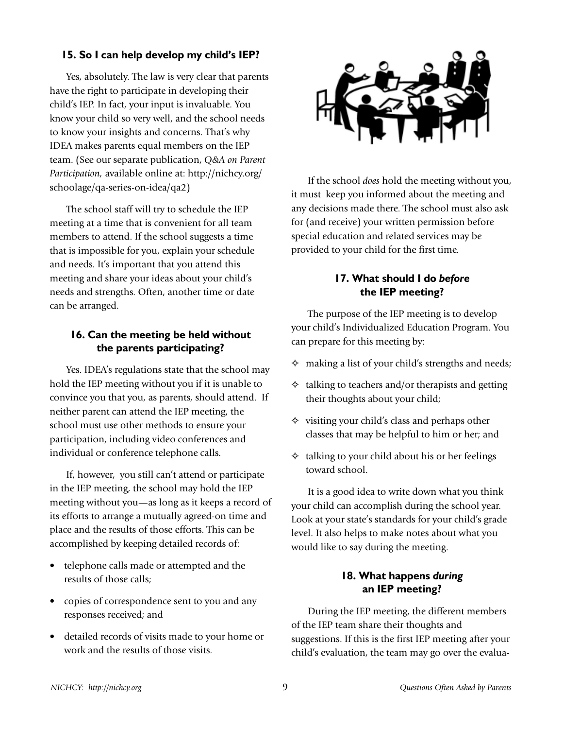# **15. So I can help develop my child's IEP?**

Yes, absolutely. The law is very clear that parents have the right to participate in developing their child's IEP. In fact, your input is invaluable. You know your child so very well, and the school needs to know your insights and concerns. That's why IDEA makes parents equal members on the IEP team. (See our separate publication, *Q&A on Parent Participation,* available online at: http://nichcy.org/ schoolage/qa-series-on-idea/qa2)

The school staff will try to schedule the IEP meeting at a time that is convenient for all team members to attend. If the school suggests a time that is impossible for you, explain your schedule and needs. It's important that you attend this meeting and share your ideas about your child's needs and strengths. Often, another time or date can be arranged.

# **16. Can the meeting be held without the parents participating?**

Yes. IDEA's regulations state that the school may hold the IEP meeting without you if it is unable to convince you that you, as parents, should attend. If neither parent can attend the IEP meeting, the school must use other methods to ensure your participation, including video conferences and individual or conference telephone calls.

If, however, you still can't attend or participate in the IEP meeting, the school may hold the IEP meeting without you—as long as it keeps a record of its efforts to arrange a mutually agreed-on time and place and the results of those efforts. This can be accomplished by keeping detailed records of:

- telephone calls made or attempted and the results of those calls;
- copies of correspondence sent to you and any responses received; and
- detailed records of visits made to your home or work and the results of those visits.



If the school *does* hold the meeting without you, it must keep you informed about the meeting and any decisions made there. The school must also ask for (and receive) your written permission before special education and related services may be provided to your child for the first time.

# **17. What should I do** *before* **the IEP meeting?**

The purpose of the IEP meeting is to develop your child's Individualized Education Program. You can prepare for this meeting by:

- $\diamond$  making a list of your child's strengths and needs;
- $\Diamond$  talking to teachers and/or therapists and getting their thoughts about your child;
- ✧ visiting your child's class and perhaps other classes that may be helpful to him or her; and
- $\Diamond$  talking to your child about his or her feelings toward school.

It is a good idea to write down what you think your child can accomplish during the school year. Look at your state's standards for your child's grade level. It also helps to make notes about what you would like to say during the meeting.

### **18. What happens** *during* **an IEP meeting?**

During the IEP meeting, the different members of the IEP team share their thoughts and suggestions. If this is the first IEP meeting after your child's evaluation, the team may go over the evalua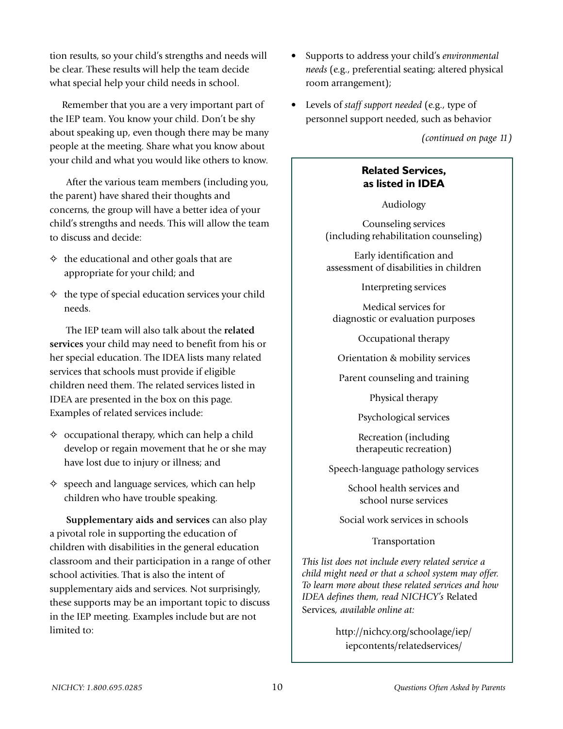tion results, so your child's strengths and needs will be clear. These results will help the team decide what special help your child needs in school.

 Remember that you are a very important part of the IEP team. You know your child. Don't be shy about speaking up, even though there may be many people at the meeting. Share what you know about your child and what you would like others to know.

After the various team members (including you, the parent) have shared their thoughts and concerns, the group will have a better idea of your child's strengths and needs. This will allow the team to discuss and decide:

- $\diamond$  the educational and other goals that are appropriate for your child; and
- $\diamond$  the type of special education services your child needs.

The IEP team will also talk about the **related services** your child may need to benefit from his or her special education. The IDEA lists many related services that schools must provide if eligible children need them. The related services listed in IDEA are presented in the box on this page. Examples of related services include:

- $\diamond$  occupational therapy, which can help a child develop or regain movement that he or she may have lost due to injury or illness; and
- $\diamond$  speech and language services, which can help children who have trouble speaking.

**Supplementary aids and services** can also play a pivotal role in supporting the education of children with disabilities in the general education classroom and their participation in a range of other school activities. That is also the intent of supplementary aids and services. Not surprisingly, these supports may be an important topic to discuss in the IEP meeting. Examples include but are not limited to:

- Supports to address your child's *environmental needs* (e.g., preferential seating; altered physical room arrangement);
- Levels of *staff support needed* (e.g., type of personnel support needed, such as behavior

*(continued on page 11)*

# **Related Services, as listed in IDEA**

Audiology

Counseling services (including rehabilitation counseling)

Early identification and assessment of disabilities in children

Interpreting services

Medical services for diagnostic or evaluation purposes

Occupational therapy

Orientation & mobility services

Parent counseling and training

Physical therapy

Psychological services

Recreation (including therapeutic recreation)

Speech-language pathology services

School health services and school nurse services

Social work services in schools

Transportation

*This list does not include every related service a child might need or that a school system may offer. To learn more about these related services and how IDEA defines them, read NICHCY's* Related Services*, available online at:*

> http://nichcy.org/schoolage/iep/ iepcontents/relatedservices/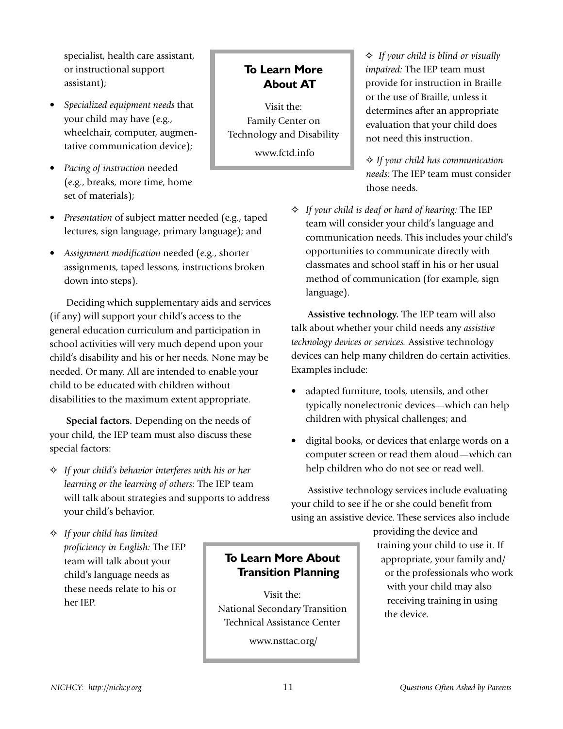specialist, health care assistant, or instructional support assistant);

- *Specialized equipment needs* that your child may have (e.g., wheelchair, computer, augmentative communication device);
- *Pacing of instruction* needed (e.g., breaks, more time, home set of materials);
- *Presentation* of subject matter needed (e.g., taped lectures, sign language, primary language); and
- *Assignment modification* needed (e.g., shorter assignments, taped lessons, instructions broken down into steps).

Deciding which supplementary aids and services (if any) will support your child's access to the general education curriculum and participation in school activities will very much depend upon your child's disability and his or her needs. None may be needed. Or many. All are intended to enable your child to be educated with children without disabilities to the maximum extent appropriate.

**Special factors.** Depending on the needs of your child, the IEP team must also discuss these special factors:

✧ *If your child's behavior interferes with his or her learning or the learning of others:* The IEP team will talk about strategies and supports to address your child's behavior.

# **To Learn More About AT**

Visit the: Family Center on Technology and Disability www.fctd.info

✧ *If your child is blind or visually impaired:* The IEP team must provide for instruction in Braille or the use of Braille, unless it determines after an appropriate evaluation that your child does not need this instruction.

✧ *If your child has communication needs:* The IEP team must consider those needs.

✧ *If your child is deaf or hard of hearing:* The IEP team will consider your child's language and communication needs. This includes your child's opportunities to communicate directly with classmates and school staff in his or her usual method of communication (for example, sign language).

**Assistive technology.** The IEP team will also talk about whether your child needs any *assistive technology devices or services.* Assistive technology devices can help many children do certain activities. Examples include:

- adapted furniture, tools, utensils, and other typically nonelectronic devices—which can help children with physical challenges; and
- digital books, or devices that enlarge words on a computer screen or read them aloud—which can help children who do not see or read well.

Assistive technology services include evaluating your child to see if he or she could benefit from using an assistive device. These services also include

✧ *If your child has limited proficiency in English:* The IEP team will talk about your child's language needs as these needs relate to his or her IEP.

# **To Learn More About Transition Planning**

Visit the: National Secondary Transition Technical Assistance Center

www.nsttac.org/

providing the device and training your child to use it. If appropriate, your family and/ or the professionals who work with your child may also receiving training in using the device.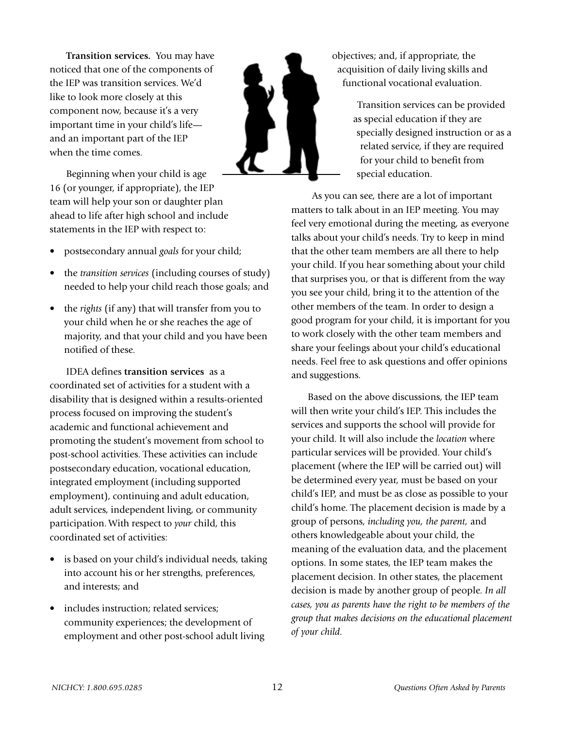**Transition services.** You may have noticed that one of the components of the IEP was transition services. We'd like to look more closely at this component now, because it's a very important time in your child's life and an important part of the IEP when the time comes.

Beginning when your child is age 16 (or younger, if appropriate), the IEP team will help your son or daughter plan ahead to life after high school and include statements in the IEP with respect to:

- postsecondary annual *goals* for your child;
- the *transition services* (including courses of study) needed to help your child reach those goals; and
- the *rights* (if any) that will transfer from you to your child when he or she reaches the age of majority, and that your child and you have been notified of these.

IDEA defines **transition services** as a coordinated set of activities for a student with a disability that is designed within a results-oriented process focused on improving the student's academic and functional achievement and promoting the student's movement from school to post-school activities. These activities can include postsecondary education, vocational education, integrated employment (including supported employment), continuing and adult education, adult services, independent living, or community participation. With respect to *your* child, this coordinated set of activities:

- **•** is based on your child's individual needs, taking into account his or her strengths, preferences, and interests; and
- **•** includes instruction; related services; community experiences; the development of employment and other post-school adult living

objectives; and, if appropriate, the acquisition of daily living skills and functional vocational evaluation.

> Transition services can be provided as special education if they are specially designed instruction or as a related service, if they are required for your child to benefit from special education.

As you can see, there are a lot of important matters to talk about in an IEP meeting. You may feel very emotional during the meeting, as everyone talks about your child's needs. Try to keep in mind that the other team members are all there to help your child. If you hear something about your child that surprises you, or that is different from the way you see your child, bring it to the attention of the other members of the team. In order to design a good program for your child, it is important for you to work closely with the other team members and share your feelings about your child's educational needs. Feel free to ask questions and offer opinions and suggestions.

Based on the above discussions, the IEP team will then write your child's IEP. This includes the services and supports the school will provide for your child. It will also include the *location* where particular services will be provided. Your child's placement (where the IEP will be carried out) will be determined every year, must be based on your child's IEP, and must be as close as possible to your child's home. The placement decision is made by a group of persons, *including you, the parent,* and others knowledgeable about your child, the meaning of the evaluation data, and the placement options. In some states, the IEP team makes the placement decision. In other states, the placement decision is made by another group of people. *In all cases, you as parents have the right to be members of the group that makes decisions on the educational placement of your child.*

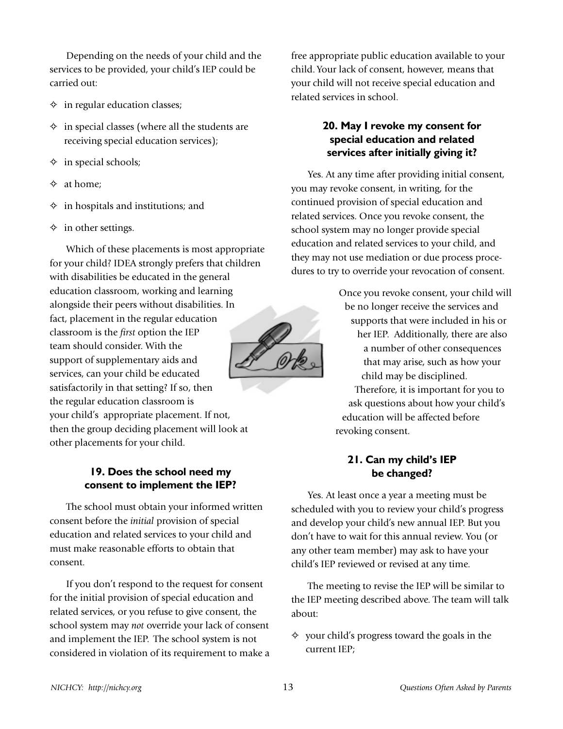Depending on the needs of your child and the services to be provided, your child's IEP could be carried out:

- $\diamond$  in regular education classes;
- $\diamond$  in special classes (where all the students are receiving special education services);
- $\diamond$  in special schools;
- ✧ at home;
- $\diamond$  in hospitals and institutions; and
- $\diamond$  in other settings.

Which of these placements is most appropriate for your child? IDEA strongly prefers that children with disabilities be educated in the general education classroom, working and learning alongside their peers without disabilities. In fact, placement in the regular education classroom is the *first* option the IEP team should consider. With the support of supplementary aids and services, can your child be educated satisfactorily in that setting? If so, then the regular education classroom is your child's appropriate placement. If not, then the group deciding placement will look at other placements for your child.

# **19. Does the school need my consent to implement the IEP?**

The school must obtain your informed written consent before the *initial* provision of special education and related services to your child and must make reasonable efforts to obtain that consent.

If you don't respond to the request for consent for the initial provision of special education and related services, or you refuse to give consent, the school system may *not* override your lack of consent and implement the IEP. The school system is not considered in violation of its requirement to make a free appropriate public education available to your child. Your lack of consent, however, means that your child will not receive special education and related services in school.

# **20. May I revoke my consent for special education and related services after initially giving it?**

Yes. At any time after providing initial consent, you may revoke consent, in writing, for the continued provision of special education and related services. Once you revoke consent, the school system may no longer provide special education and related services to your child, and they may not use mediation or due process procedures to try to override your revocation of consent.



Once you revoke consent, your child will be no longer receive the services and supports that were included in his or her IEP. Additionally, there are also a number of other consequences that may arise, such as how your child may be disciplined.

Therefore, it is important for you to ask questions about how your child's education will be affected before revoking consent.

# **21. Can my child's IEP be changed?**

Yes. At least once a year a meeting must be scheduled with you to review your child's progress and develop your child's new annual IEP. But you don't have to wait for this annual review. You (or any other team member) may ask to have your child's IEP reviewed or revised at any time.

The meeting to revise the IEP will be similar to the IEP meeting described above. The team will talk about:

✧ your child's progress toward the goals in the current IEP;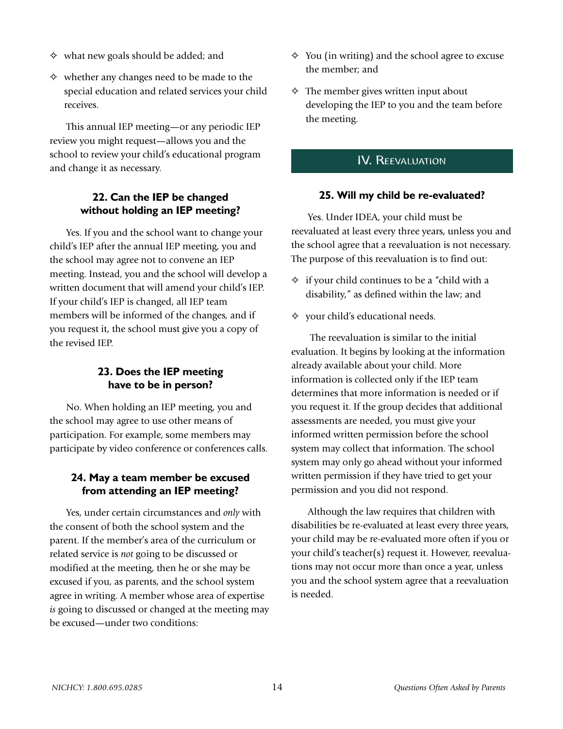- $\diamond$  what new goals should be added; and
- $\diamond$  whether any changes need to be made to the special education and related services your child receives.

This annual IEP meeting—or any periodic IEP review you might request—allows you and the school to review your child's educational program and change it as necessary.

# **22. Can the IEP be changed without holding an IEP meeting?**

Yes. If you and the school want to change your child's IEP after the annual IEP meeting, you and the school may agree not to convene an IEP meeting. Instead, you and the school will develop a written document that will amend your child's IEP. If your child's IEP is changed, all IEP team members will be informed of the changes, and if you request it, the school must give you a copy of the revised IEP.

# **23. Does the IEP meeting have to be in person?**

No. When holding an IEP meeting, you and the school may agree to use other means of participation. For example, some members may participate by video conference or conferences calls.

# **24. May a team member be excused from attending an IEP meeting?**

Yes, under certain circumstances and *only* with the consent of both the school system and the parent. If the member's area of the curriculum or related service is *not* going to be discussed or modified at the meeting, then he or she may be excused if you, as parents, and the school system agree in writing. A member whose area of expertise *is* going to discussed or changed at the meeting may be excused—under two conditions:

- $\diamond$  You (in writing) and the school agree to excuse the member; and
- $\diamond$  The member gives written input about developing the IEP to you and the team before the meeting.

# IV. REEVALUATION

#### **25. Will my child be re-evaluated?**

Yes. Under IDEA, your child must be reevaluated at least every three years, unless you and the school agree that a reevaluation is not necessary. The purpose of this reevaluation is to find out:

- $\Diamond$  if your child continues to be a "child with a disability," as defined within the law; and
- ✧ your child's educational needs.

 The reevaluation is similar to the initial evaluation. It begins by looking at the information already available about your child. More information is collected only if the IEP team determines that more information is needed or if you request it. If the group decides that additional assessments are needed, you must give your informed written permission before the school system may collect that information. The school system may only go ahead without your informed written permission if they have tried to get your permission and you did not respond.

Although the law requires that children with disabilities be re-evaluated at least every three years, your child may be re-evaluated more often if you or your child's teacher(s) request it. However, reevaluations may not occur more than once a year, unless you and the school system agree that a reevaluation is needed.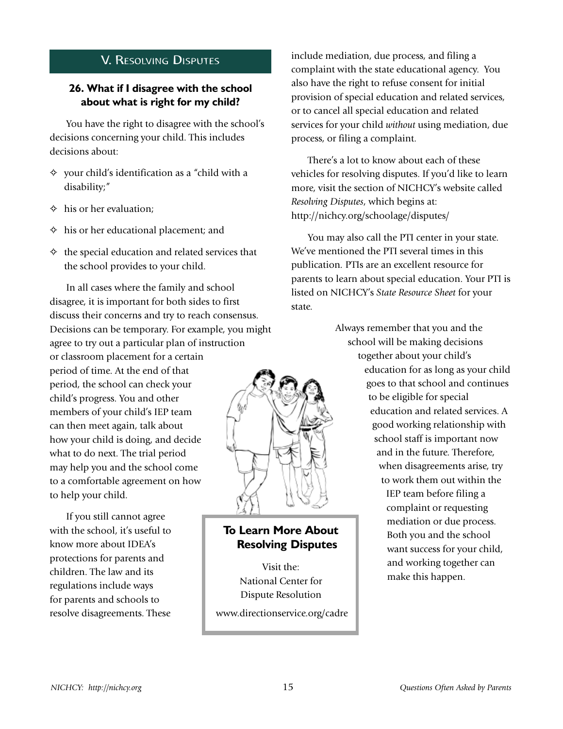#### **26. What if I disagree with the school about what is right for my child?**

You have the right to disagree with the school's decisions concerning your child. This includes decisions about:

- $\diamond$  your child's identification as a "child with a disability;"
- $\diamond$  his or her evaluation;
- $\diamond$  his or her educational placement; and
- $\diamond$  the special education and related services that the school provides to your child.

In all cases where the family and school disagree, it is important for both sides to first discuss their concerns and try to reach consensus. Decisions can be temporary. For example, you might agree to try out a particular plan of instruction or classroom placement for a certain period of time. At the end of that period, the school can check your child's progress. You and other members of your child's IEP team can then meet again, talk about how your child is doing, and decide what to do next. The trial period may help you and the school come to a comfortable agreement on how to help your child.

If you still cannot agree with the school, it's useful to know more about IDEA's protections for parents and children. The law and its regulations include ways for parents and schools to resolve disagreements. These

V. RESOLVING DISPUTES include mediation, due process, and filing a complaint with the state educational agency. You also have the right to refuse consent for initial provision of special education and related services, or to cancel all special education and related services for your child *without* using mediation, due process, or filing a complaint.

> There's a lot to know about each of these vehicles for resolving disputes. If you'd like to learn more, visit the section of NICHCY's website called *Resolving Disputes*, which begins at: http://nichcy.org/schoolage/disputes/

You may also call the PTI center in your state. We've mentioned the PTI several times in this publication*.* PTIs are an excellent resource for parents to learn about special education. Your PTI is listed on NICHCY's *State Resource Sheet* for your state.

> Always remember that you and the school will be making decisions together about your child's education for as long as your child goes to that school and continues to be eligible for special education and related services. A good working relationship with school staff is important now and in the future. Therefore, when disagreements arise, try to work them out within the IEP team before filing a complaint or requesting mediation or due process. Both you and the school want success for your child, and working together can make this happen.



# **To Learn More About Resolving Disputes**

Visit the: National Center for Dispute Resolution

www.directionservice.org/cadre